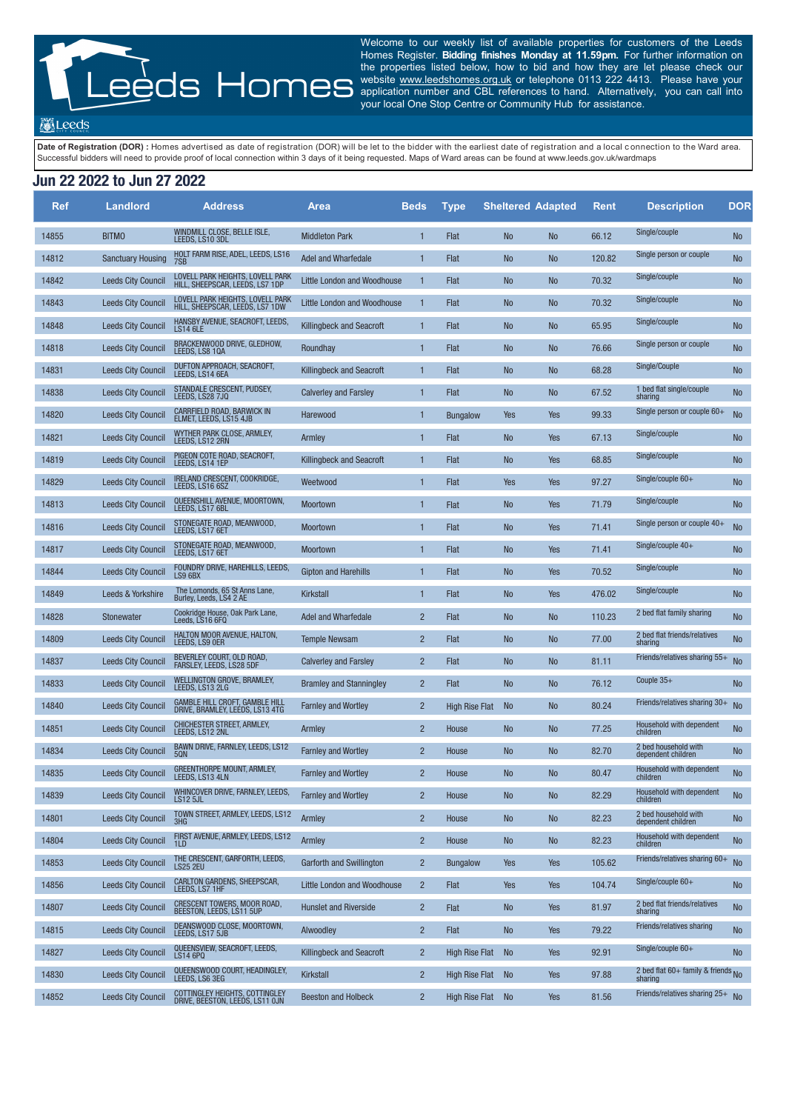Welcome to our weekly list of available properties for customers of the Leeds Homes Register. **Bidding finishes Monday at 11.59pm.** For further information on the properties listed below, how to bid and how they are let please check our website www.leedshomes.org.uk or telephone 0113 222 4413. Please have your application number and CBL references to hand. Alternatively, you can call into your local One Stop Centre or Community Hub for assistance.

**Meeds** 

Date of Registration (DOR): Homes advertised as date of registration (DOR) will be let to the bidder with the earliest date of registration and a local connection to the Ward area. Successful bidders will need to provide proof of local connection within 3 days of it being requested. Maps of Ward areas can be found at www.leeds.gov.uk/wardmaps

## **Jun 22 2022 to Jun 27 2022**

| <b>Ref</b> | <b>Landlord</b>           | <b>Address</b>                                                           | <b>Area</b>                        | <b>Beds</b>    | <b>Type</b>           | <b>Sheltered Adapted</b> |            | <b>Rent</b> | <b>Description</b>                               | <b>DOR</b> |
|------------|---------------------------|--------------------------------------------------------------------------|------------------------------------|----------------|-----------------------|--------------------------|------------|-------------|--------------------------------------------------|------------|
| 14855      | <b>BITMO</b>              | WINDMILL CLOSE, BELLE ISLE,<br>LEEDS, LS10 3DL                           | <b>Middleton Park</b>              | 1              | Flat                  | <b>No</b>                | <b>No</b>  | 66.12       | Single/couple                                    | <b>No</b>  |
| 14812      | <b>Sanctuary Housing</b>  | HOLT FARM RISE, ADEL, LEEDS, LS16                                        | Adel and Wharfedale                | $\mathbf{1}$   | Flat                  | <b>No</b>                | <b>No</b>  | 120.82      | Single person or couple                          | <b>No</b>  |
| 14842      | <b>Leeds City Council</b> | LOVELL PARK HEIGHTS, LOVELL PARK<br>HILL, SHEEPSCAR, LEEDS, LS7 1DP      | <b>Little London and Woodhouse</b> | $\mathbf{1}$   | Flat                  | <b>No</b>                | <b>No</b>  | 70.32       | Single/couple                                    | No         |
| 14843      | <b>Leeds City Council</b> | LOVELL PARK HEIGHTS, LOVELL PARK<br>HILL, SHEEPSCAR, LEEDS, LS7 1DW      | <b>Little London and Woodhouse</b> | $\mathbf{1}$   | Flat                  | <b>No</b>                | <b>No</b>  | 70.32       | Single/couple                                    | No         |
| 14848      | <b>Leeds City Council</b> | HANSBY AVENUE, SEACROFT, LEEDS,<br><b>LS14 6LE</b>                       | <b>Killingbeck and Seacroft</b>    | $\mathbf{1}$   | Flat                  | <b>No</b>                | <b>No</b>  | 65.95       | Single/couple                                    | No         |
| 14818      | <b>Leeds City Council</b> | BRACKENWOOD DRIVE, GLEDHOW,<br>LEEDS, LS8 10A                            | Roundhay                           | $\mathbf{1}$   | Flat                  | <b>No</b>                | <b>No</b>  | 76.66       | Single person or couple                          | <b>No</b>  |
| 14831      | <b>Leeds City Council</b> | DUFTON APPROACH, SEACROFT,<br>LEEDS, LS14 6EA                            | <b>Killingbeck and Seacroft</b>    | $\mathbf{1}$   | Flat                  | <b>No</b>                | <b>No</b>  | 68.28       | Single/Couple                                    | No         |
| 14838      | <b>Leeds City Council</b> | STANDALE CRESCENT, PUDSEY,<br>LEEDS, LS28 7JQ                            | <b>Calverley and Farsley</b>       | 1              | Flat                  | <b>No</b>                | <b>No</b>  | 67.52       | 1 bed flat single/couple<br>sharing              | No         |
| 14820      | <b>Leeds City Council</b> | CARRFIELD ROAD, BARWICK IN<br>ELMET. LEEDS. LS15 4JB                     | Harewood                           | $\mathbf{1}$   | <b>Bungalow</b>       | Yes                      | <b>Yes</b> | 99.33       | Single person or couple $60+$                    | No         |
| 14821      | <b>Leeds City Council</b> | WYTHER PARK CLOSE, ARMLEY,<br>LEEDS, LS12 2RN                            | Armley                             | $\mathbf{1}$   | Flat                  | <b>No</b>                | <b>Yes</b> | 67.13       | Single/couple                                    | No         |
| 14819      | <b>Leeds City Council</b> | PIGEON COTE ROAD, SEACROFT,<br>LEEDS, LS14 1EP                           | <b>Killingbeck and Seacroft</b>    | $\mathbf{1}$   | Flat                  | <b>No</b>                | Yes        | 68.85       | Single/couple                                    | No         |
| 14829      | <b>Leeds City Council</b> | IRELAND CRESCENT, COOKRIDGE,<br>LEEDS, LS16 6SZ                          | Weetwood                           | $\mathbf{1}$   | Flat                  | Yes                      | <b>Yes</b> | 97.27       | Single/couple $60+$                              | No         |
| 14813      | <b>Leeds City Council</b> | QUEENSHILL AVENUE, MOORTOWN,<br>LEEDS, LS17 6BL                          | Moortown                           | $\mathbf{1}$   | Flat                  | <b>No</b>                | <b>Yes</b> | 71.79       | Single/couple                                    | No         |
| 14816      | <b>Leeds City Council</b> | STONEGATE ROAD, MEANWOOD,<br>LEEDS, LS17 6ET                             | <b>Moortown</b>                    | $\mathbf{1}$   | Flat                  | <b>No</b>                | <b>Yes</b> | 71.41       | Single person or couple $40+$                    | No         |
| 14817      | <b>Leeds City Council</b> | STONEGATE ROAD, MEANWOOD,<br>LEEDS, LS17 6ET                             | <b>Moortown</b>                    | $\mathbf{1}$   | Flat                  | <b>No</b>                | Yes        | 71.41       | Single/couple $40+$                              | No         |
| 14844      | <b>Leeds City Council</b> | FOUNDRY DRIVE, HAREHILLS, LEEDS,<br>LS9 6BX                              | <b>Gipton and Harehills</b>        | $\mathbf{1}$   | Flat                  | <b>No</b>                | Yes        | 70.52       | Single/couple                                    | <b>No</b>  |
| 14849      | Leeds & Yorkshire         | The Lomonds, 65 St Anns Lane,<br>Burley, Leeds, LS4 2 AE                 | <b>Kirkstall</b>                   | 1              | Flat                  | <b>No</b>                | Yes        | 476.02      | Single/couple                                    | <b>No</b>  |
| 14828      | Stonewater                | Cookridge House, Oak Park Lane,<br>Leeds, LS16 6FQ                       | Adel and Wharfedale                | $\overline{2}$ | Flat                  | <b>No</b>                | <b>No</b>  | 110.23      | 2 bed flat family sharing                        | <b>No</b>  |
| 14809      | <b>Leeds City Council</b> | HALTON MOOR AVENUE, HALTON,<br>LEEDS, LS9 OER                            | <b>Temple Newsam</b>               | $\overline{2}$ | Flat                  | <b>No</b>                | No         | 77.00       | 2 bed flat friends/relatives<br>sharing          | No         |
| 14837      | <b>Leeds City Council</b> | BEVERLEY COURT, OLD ROAD,<br>FARSLEY, LEEDS, LS28 5DF                    | <b>Calverley and Farsley</b>       | $\overline{2}$ | Flat                  | <b>No</b>                | <b>No</b>  | 81.11       | Friends/relatives sharing 55+                    | <b>No</b>  |
| 14833      | <b>Leeds City Council</b> | WELLINGTON GROVE, BRAMLEY,<br>LEEDS, LS13 2LG                            | <b>Bramley and Stanningley</b>     | $\overline{2}$ | Flat                  | <b>No</b>                | <b>No</b>  | 76.12       | Couple $35+$                                     | <b>No</b>  |
| 14840      | <b>Leeds City Council</b> | <b>GAMBLE HILL CROFT, GAMBLE HILL</b><br>DRIVE, BRAMLEY, LEÉDS, LS13 4TG | <b>Farnley and Wortley</b>         | $\overline{2}$ | <b>High Rise Flat</b> | <b>No</b>                | <b>No</b>  | 80.24       | Friends/relatives sharing 30+                    | <b>No</b>  |
| 14851      | <b>Leeds City Council</b> | CHICHESTER STREET, ARMLEY,<br>LEEDS, LS12 2NL                            | Armley                             | $\overline{2}$ | House                 | <b>No</b>                | <b>No</b>  | 77.25       | Household with dependent<br>children             | No         |
| 14834      | <b>Leeds City Council</b> | BAWN DRIVE, FARNLEY, LEEDS, LS12<br>50N                                  | <b>Farnley and Wortley</b>         | $\overline{2}$ | House                 | <b>No</b>                | <b>No</b>  | 82.70       | 2 bed household with<br>dependent children       | <b>No</b>  |
| 14835      | <b>Leeds City Council</b> | GREENTHORPE MOUNT, ARMLEY,<br>LEEDS, LS13 4LN                            | <b>Farnley and Wortley</b>         | $\overline{2}$ | House                 | <b>No</b>                | <b>No</b>  | 80.47       | Household with dependent<br>children             | No         |
| 14839      | <b>Leeds City Council</b> | WHINCOVER DRIVE, FARNLEY, LEEDS,<br><b>LS12 5JL</b>                      | <b>Farnley and Wortley</b>         | $\overline{2}$ | House                 | <b>No</b>                | <b>No</b>  | 82.29       | Household with dependent<br>children             | No         |
| 14801      | <b>Leeds City Council</b> | TOWN STREET, ARMLEY, LEEDS, LS12<br>3HG                                  | Armley                             | $\overline{2}$ | House                 | <b>No</b>                | <b>No</b>  | 82.23       | 2 bed household with<br>dependent children       | <b>No</b>  |
| 14804      | <b>Leeds City Council</b> | FIRST AVENUE, ARMLEY, LEEDS, LS12<br>11 D                                | Armley                             | $\overline{2}$ | House                 | <b>No</b>                | <b>No</b>  | 82.23       | Household with dependent<br>children             | No         |
| 14853      | <b>Leeds City Council</b> | THE CRESCENT, GARFORTH, LEEDS,<br><b>LS25 2EU</b>                        | <b>Garforth and Swillington</b>    | $\overline{2}$ | <b>Bungalow</b>       | <b>Yes</b>               | Yes        | 105.62      | Friends/relatives sharing 60+                    | <b>No</b>  |
| 14856      | <b>Leeds City Council</b> | CARLTON GARDENS, SHEEPSCAR,<br>LEEDS, LS7 1HF                            | <b>Little London and Woodhouse</b> | $\overline{2}$ | Flat                  | Yes                      | Yes        | 104.74      | Single/couple $60+$                              | <b>No</b>  |
| 14807      | <b>Leeds City Council</b> | CRESCENT TOWERS, MOOR ROAD,<br>BEESTON, LEEDS, LS11 5UP                  | <b>Hunslet and Riverside</b>       | $\overline{2}$ | Flat                  | <b>No</b>                | Yes        | 81.97       | 2 bed flat friends/relatives<br>sharing          | No         |
| 14815      | <b>Leeds City Council</b> | DEANSWOOD CLOSE, MOORTOWN,<br>LEEDS, LS17 5JB                            | Alwoodley                          | $\overline{2}$ | Flat                  | <b>No</b>                | Yes        | 79.22       | Friends/relatives sharing                        | No         |
| 14827      | <b>Leeds City Council</b> | QUEENSVIEW, SEACROFT, LEEDS,<br><b>LS14 6PQ</b>                          | <b>Killingbeck and Seacroft</b>    | $\overline{2}$ | <b>High Rise Flat</b> | <b>No</b>                | Yes        | 92.91       | Single/couple $60+$                              | <b>No</b>  |
| 14830      | <b>Leeds City Council</b> | QUEENSWOOD COURT, HEADINGLEY,<br>LEEDS, LS6 3EG                          | Kirkstall                          | $\overline{2}$ | <b>High Rise Flat</b> | <b>No</b>                | Yes        | 97.88       | 2 bed flat 60+ family & friends $N_0$<br>sharing |            |
| 14852      | <b>Leeds City Council</b> | COTTINGLEY HEIGHTS, COTTINGLEY<br>DRIVE, BEESTON, LEEDS, LS11 OJN        | <b>Beeston and Holbeck</b>         | $\overline{2}$ | <b>High Rise Flat</b> | N <sub>0</sub>           | Yes        | 81.56       | Friends/relatives sharing $25 + N0$              |            |